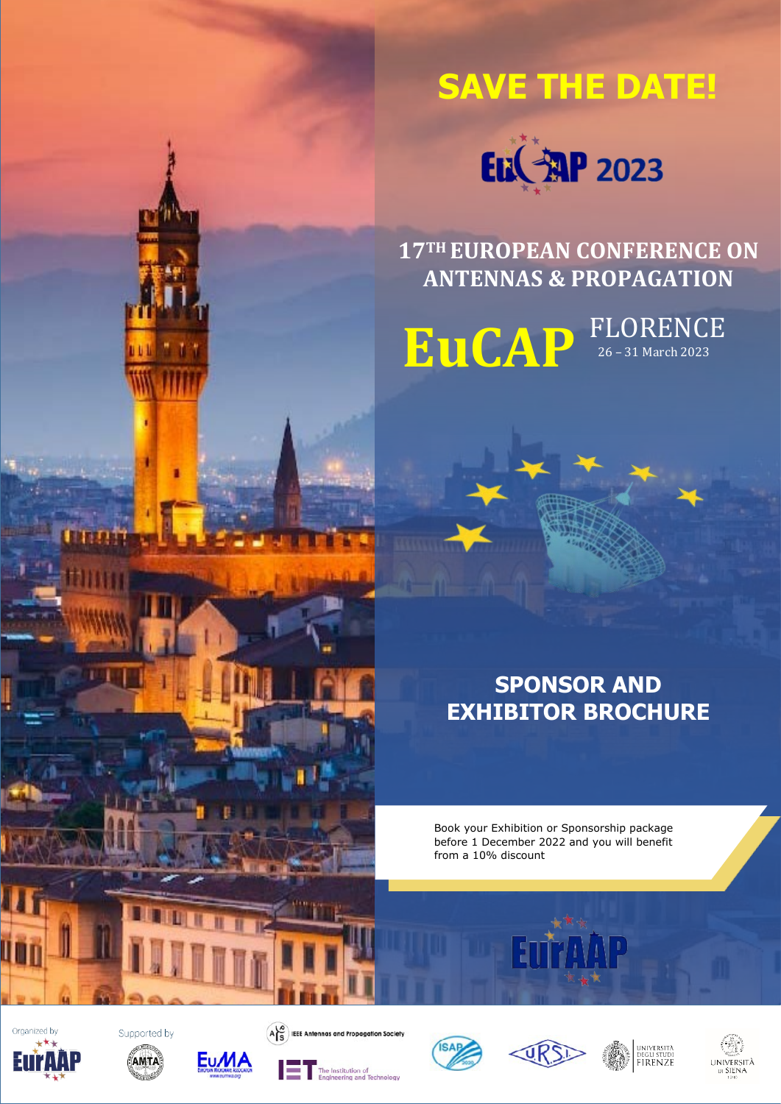





**17TH EUROPEAN CONFERENCE ON ANTENNAS & PROPAGATION**

FLORENCE<br>26 – 31 March 2023 **EuCAP**

> **SPONSOR AND EXHIBITOR BROCHURE**

Book your Exhibition or Sponsorship package before 1 December 2022 and you will benefit from a 10% discount

Organized by









 $\overbrace{AS}^{\overbrace{O}}$  IEEE Antennas a





đ



**AP** 



universitä<br>degli studi<br>FIRENZE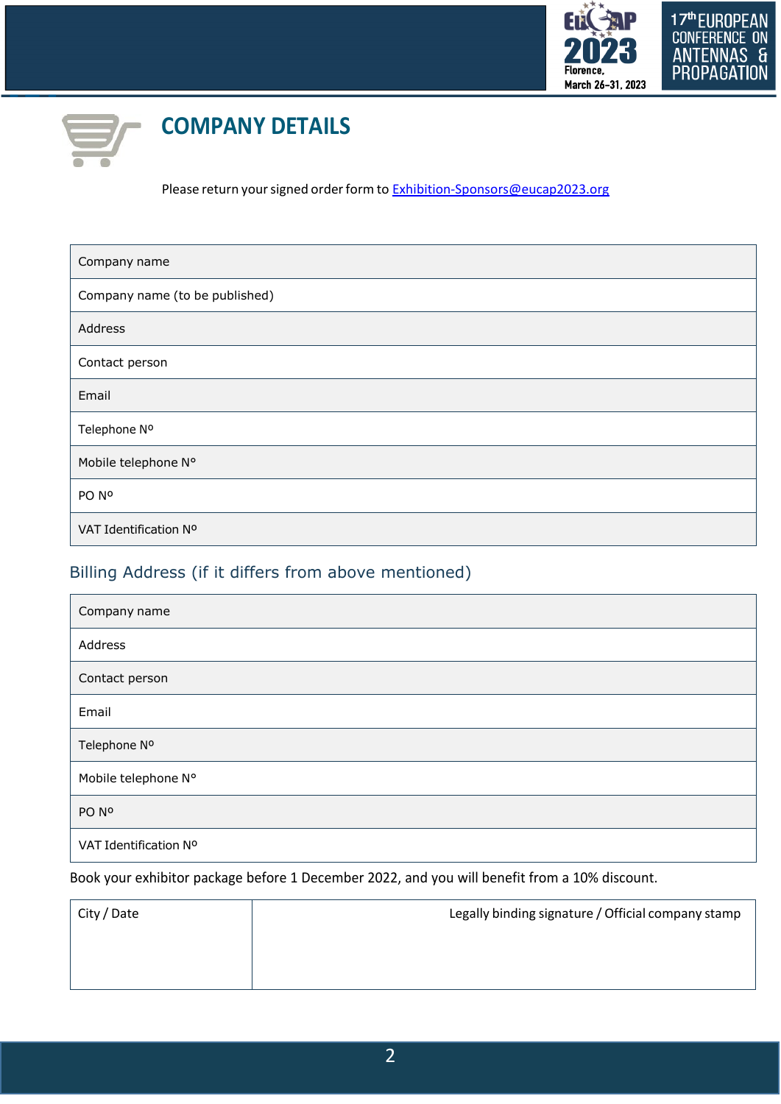



# **COMPANY DETAILS**

Please return your signed order form to [Exhibition-Sponsors@eucap2023.org](mailto:Exhibition-Sponsors@eucap2023.org)

| Company name                   |
|--------------------------------|
| Company name (to be published) |
| Address                        |
| Contact person                 |
| Email                          |
| Telephone Nº                   |
| Mobile telephone N°            |
| PO Nº                          |
| VAT Identification Nº          |

## Billing Address (if it differs from above mentioned)

| Company name          |
|-----------------------|
| Address               |
| Contact person        |
| Email                 |
| Telephone Nº          |
| Mobile telephone N°   |
| PO Nº                 |
| VAT Identification Nº |

Book your exhibitor package before 1 December 2022, and you will benefit from a 10% discount.

| City / Date | Legally binding signature / Official company stamp |
|-------------|----------------------------------------------------|
|             |                                                    |
|             |                                                    |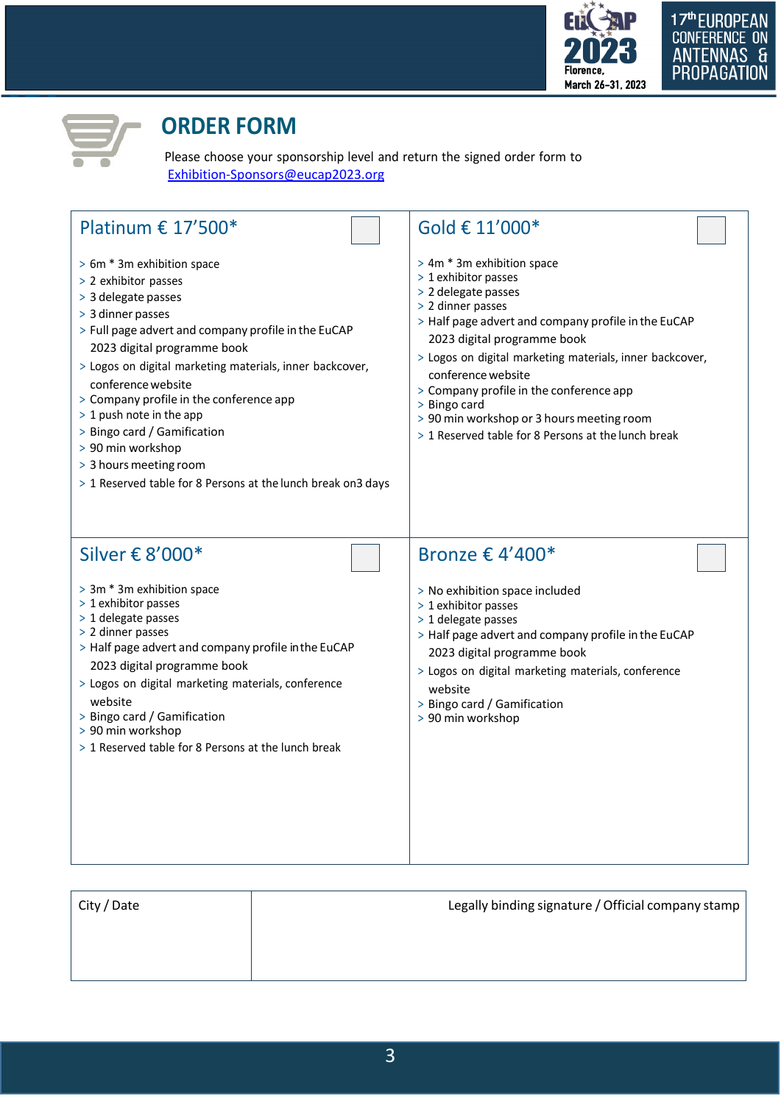



## **ORDER FORM**

Please choose your sponsorship level and return the signed order form to [Exhibition-Sponsors@eucap2023.org](mailto:Exhibition-Sponsors@eucap2023.org)

|  | Platinum € $17'500*$ |  |  |  |  |  |
|--|----------------------|--|--|--|--|--|
|--|----------------------|--|--|--|--|--|

- > 6m \* 3m exhibition space
- > 2 exhibitor passes
- <sup>&</sup>gt; 3 delegate passes
- <sup>&</sup>gt; 3 dinner passes
- <sup>&</sup>gt; Full page advert and company profile in the EuCAP 2023 digital programme book
- > Logos on digital marketing materials, inner backcover, conferencewebsite
- <sup>&</sup>gt; Company profile in the conference app
- > 1 push note in the app
- <sup>&</sup>gt; Bingo card / Gamification
- <sup>&</sup>gt; 90 min workshop
- > 3 hours meeting room
- <sup>&</sup>gt; 1 Reserved table for 8 Persons at the lunch break on3 days

## Gold € 11'000\*

- > 4m \* 3m exhibition space
- > 1 exhibitor passes
- <sup>&</sup>gt; 2 delegate passes
- > 2 dinner passes
- <sup>&</sup>gt; Half page advert and company profile in the EuCAP 2023 digital programme book
- > Logos on digital marketing materials, inner backcover, conferencewebsite
- <sup>&</sup>gt; Company profile in the conference app
- <sup>&</sup>gt; Bingo card
- > 90 min workshop or 3 hours meeting room
- > 1 Reserved table for 8 Persons at the lunch break

## Silver € 8'000\*

- > 3m \* 3m exhibition space
- > 1 exhibitor passes
- > 1 delegate passes
- > 2 dinner passes
- <sup>&</sup>gt; Half page advert and company profile in the EuCAP 2023 digital programme book
- > Logos on digital marketing materials, conference website
- <sup>&</sup>gt; Bingo card / Gamification
- <sup>&</sup>gt; 90 min workshop
- > 1 Reserved table for 8 Persons at the lunch break

## Bronze € 4'400\*

- <sup>&</sup>gt; No exhibition space included
- > 1 exhibitor passes
- > 1 delegate passes
- <sup>&</sup>gt; Half page advert and company profile in the EuCAP 2023 digital programme book
- > Logos on digital marketing materials, conference website
- <sup>&</sup>gt; Bingo card / Gamification
- <sup>&</sup>gt; 90 min workshop

| City / Date | Legally binding signature / Official company stamp |
|-------------|----------------------------------------------------|
|             |                                                    |
|             |                                                    |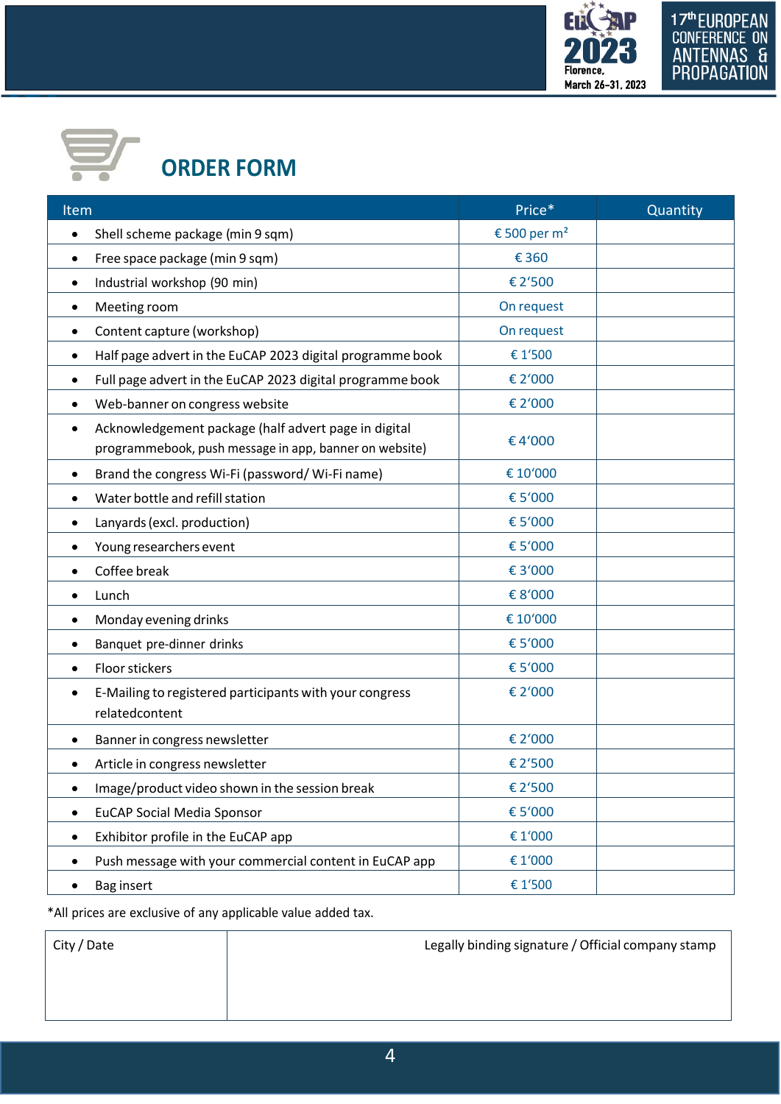



# **ORDER FORM**

| Item                                                                                                           | Price*                   | Quantity |
|----------------------------------------------------------------------------------------------------------------|--------------------------|----------|
| Shell scheme package (min 9 sqm)<br>$\bullet$                                                                  | € 500 per m <sup>2</sup> |          |
| Free space package (min 9 sqm)<br>$\bullet$                                                                    | € 360                    |          |
| Industrial workshop (90 min)<br>$\bullet$                                                                      | €2'500                   |          |
| Meeting room<br>٠                                                                                              | On request               |          |
| Content capture (workshop)<br>٠                                                                                | On request               |          |
| Half page advert in the EuCAP 2023 digital programme book<br>٠                                                 | € 1'500                  |          |
| Full page advert in the EuCAP 2023 digital programme book                                                      | € 2'000                  |          |
| Web-banner on congress website                                                                                 | € 2'000                  |          |
| Acknowledgement package (half advert page in digital<br>programmebook, push message in app, banner on website) | €4'000                   |          |
| Brand the congress Wi-Fi (password/ Wi-Fi name)                                                                | € 10'000                 |          |
| Water bottle and refill station                                                                                | €5'000                   |          |
| Lanyards (excl. production)                                                                                    | € 5'000                  |          |
| Young researchers event<br>٠                                                                                   | €5'000                   |          |
| Coffee break                                                                                                   | €3'000                   |          |
| Lunch<br>٠                                                                                                     | €8'000                   |          |
| Monday evening drinks<br>٠                                                                                     | € 10'000                 |          |
| Banquet pre-dinner drinks                                                                                      | €5'000                   |          |
| Floor stickers                                                                                                 | €5'000                   |          |
| E-Mailing to registered participants with your congress<br>relatedcontent                                      | € 2'000                  |          |
| Banner in congress newsletter                                                                                  | € 2'000                  |          |
| Article in congress newsletter                                                                                 | €2'500                   |          |
| Image/product video shown in the session break                                                                 | €2'500                   |          |
| <b>EuCAP Social Media Sponsor</b>                                                                              | €5'000                   |          |
| Exhibitor profile in the EuCAP app<br>٠                                                                        | €1'000                   |          |
| Push message with your commercial content in EuCAP app                                                         | €1'000                   |          |
| Bag insert                                                                                                     | € 1'500                  |          |

\*All prices are exclusive of any applicable value added tax.

City / Date **Legally binding signature / Official company stamp**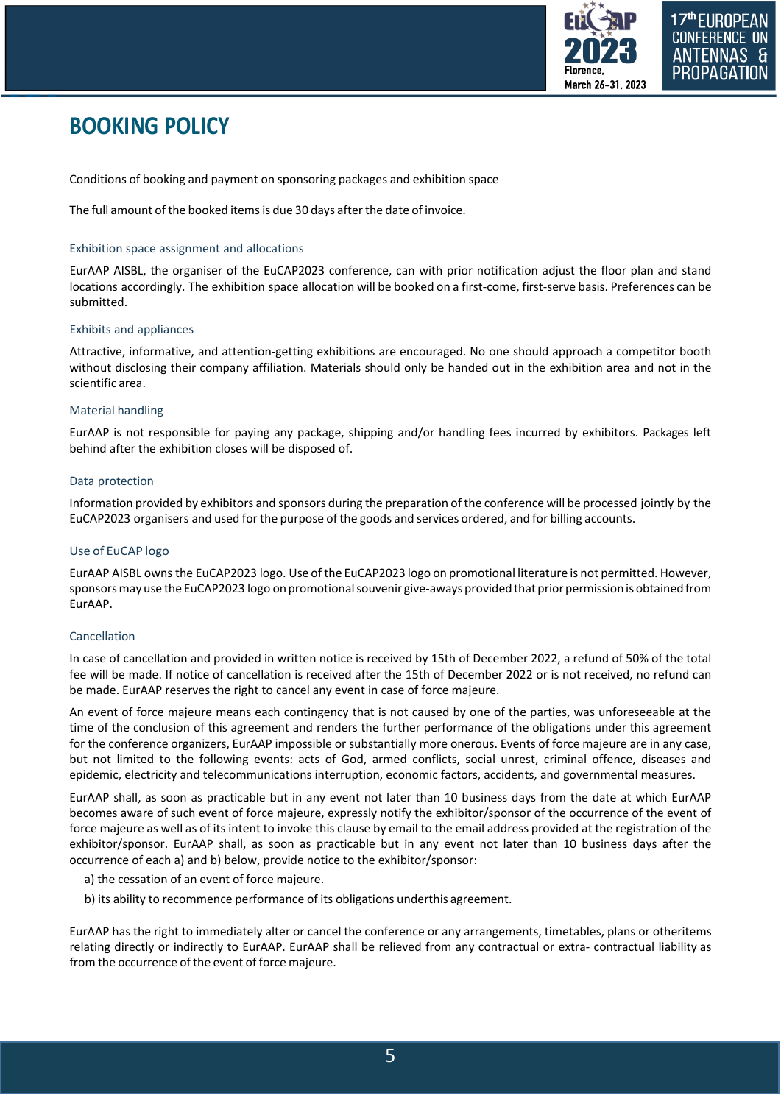

# **BOOKING POLICY**

Conditions of booking and payment on sponsoring packages and exhibition space

The full amount of the booked itemsis due 30 days after the date of invoice.

#### Exhibition space assignment and allocations

EurAAP AISBL, the organiser of the EuCAP2023 conference, can with prior notification adjust the floor plan and stand locations accordingly. The exhibition space allocation will be booked on a first-come, first-serve basis. Preferences can be submitted.

#### Exhibits and appliances

Attractive, informative, and attention-getting exhibitions are encouraged. No one should approach a competitor booth without disclosing their company affiliation. Materials should only be handed out in the exhibition area and not in the scientific area.

#### Material handling

EurAAP is not responsible for paying any package, shipping and/or handling fees incurred by exhibitors. Packages left behind after the exhibition closes will be disposed of.

#### Data protection

Information provided by exhibitors and sponsors during the preparation of the conference will be processed jointly by the EuCAP2023 organisers and used for the purpose of the goods and services ordered, and for billing accounts.

#### Use of EuCAP logo

EurAAP AISBL owns the EuCAP2023 logo. Use of the EuCAP2023 logo on promotional literature is not permitted. However, sponsorsmay use the EuCAP2023 logo on promotional souvenir give-aways provided that prior permission is obtained from EurAAP.

#### Cancellation

In case of cancellation and provided in written notice is received by 15th of December 2022, a refund of 50% of the total fee will be made. If notice of cancellation is received after the 15th of December 2022 or is not received, no refund can be made. EurAAP reserves the right to cancel any event in case of force majeure.

An event of force majeure means each contingency that is not caused by one of the parties, was unforeseeable at the time of the conclusion of this agreement and renders the further performance of the obligations under this agreement for the conference organizers, EurAAP impossible or substantially more onerous. Events of force majeure are in any case, but not limited to the following events: acts of God, armed conflicts, social unrest, criminal offence, diseases and epidemic, electricity and telecommunications interruption, economic factors, accidents, and governmental measures.

EurAAP shall, as soon as practicable but in any event not later than 10 business days from the date at which EurAAP becomes aware of such event of force majeure, expressly notify the exhibitor/sponsor of the occurrence of the event of force majeure as well as of its intent to invoke this clause by email to the email address provided at the registration of the exhibitor/sponsor. EurAAP shall, as soon as practicable but in any event not later than 10 business days after the occurrence of each a) and b) below, provide notice to the exhibitor/sponsor:

- a) the cessation of an event of force majeure.
- b) its ability to recommence performance of its obligations underthis agreement.

EurAAP has the right to immediately alter or cancel the conference or any arrangements, timetables, plans or otheritems relating directly or indirectly to EurAAP. EurAAP shall be relieved from any contractual or extra- contractual liability as from the occurrence of the event of force majeure.